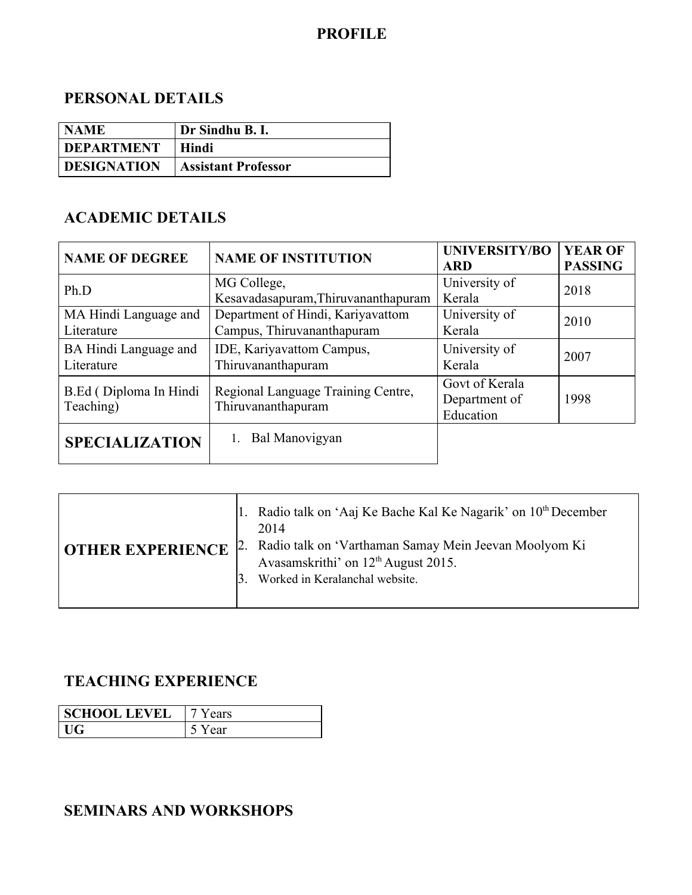### **PROFILE**

#### **PERSONAL DETAILS**

| NAME                | Dr Sindhu B. I.            |
|---------------------|----------------------------|
| <b>I DEPARTMENT</b> | Hindi                      |
| <b>DESIGNATION</b>  | <b>Assistant Professor</b> |

#### **ACADEMIC DETAILS**

| <b>NAME OF DEGREE</b>                | <b>NAME OF INSTITUTION</b>                                      | <b>UNIVERSITY/BO</b><br><b>ARD</b>           | <b>YEAR OF</b><br><b>PASSING</b> |
|--------------------------------------|-----------------------------------------------------------------|----------------------------------------------|----------------------------------|
| Ph.D                                 | MG College,<br>Kesavadasapuram, Thiruvananthapuram              | University of<br>Kerala                      | 2018                             |
| MA Hindi Language and<br>Literature  | Department of Hindi, Kariyavattom<br>Campus, Thiruvananthapuram | University of<br>Kerala                      | 2010                             |
| BA Hindi Language and<br>Literature  | IDE, Kariyavattom Campus,<br>Thiruvananthapuram                 | University of<br>Kerala                      | 2007                             |
| B.Ed (Diploma In Hindi)<br>Teaching) | Regional Language Training Centre,<br>Thiruvananthapuram        | Govt of Kerala<br>Department of<br>Education | 1998                             |
| <b>SPECIALIZATION</b>                | Bal Manovigyan                                                  |                                              |                                  |

| 1. Radio talk on 'Aaj Ke Bache Kal Ke Nagarik' on $10th$ December<br>2. Radio talk on 'Varthaman Samay Mein Jeevan Moolyom Ki<br><b>OTHER EXPERIENCE</b> |
|----------------------------------------------------------------------------------------------------------------------------------------------------------|
|                                                                                                                                                          |

### **TEACHING EXPERIENCE**

| <b>SCHOOL LEVEL</b> | ears |
|---------------------|------|
|                     | ear  |

### **SEMINARS AND WORKSHOPS**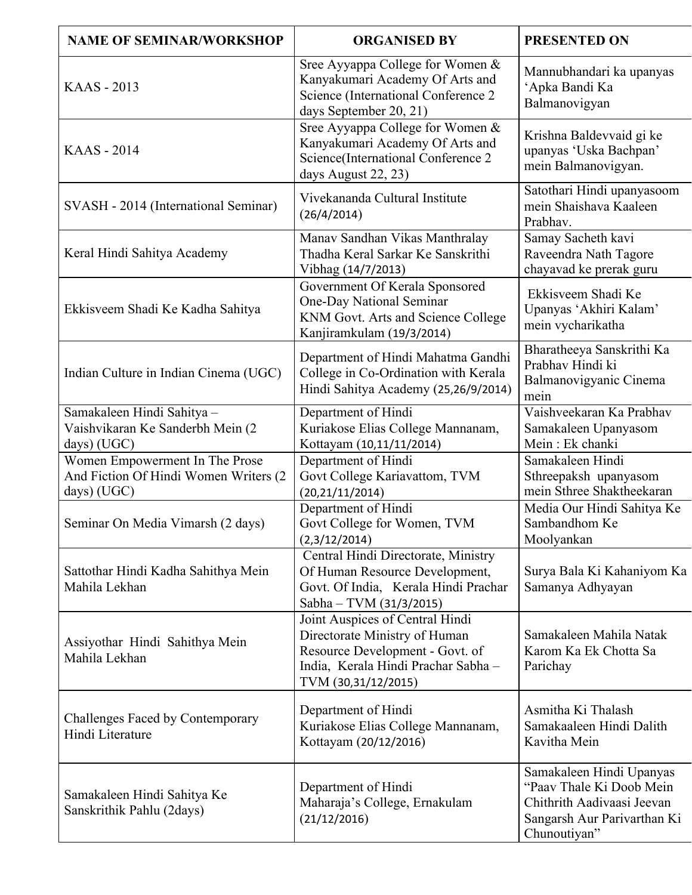| <b>NAME OF SEMINAR/WORKSHOP</b>                                                        | <b>ORGANISED BY</b>                                                                                                                                               | <b>PRESENTED ON</b>                                                                                                               |
|----------------------------------------------------------------------------------------|-------------------------------------------------------------------------------------------------------------------------------------------------------------------|-----------------------------------------------------------------------------------------------------------------------------------|
| <b>KAAS - 2013</b>                                                                     | Sree Ayyappa College for Women &<br>Kanyakumari Academy Of Arts and<br>Science (International Conference 2<br>days September 20, 21)                              | Mannubhandari ka upanyas<br>'Apka Bandi Ka<br>Balmanovigyan                                                                       |
| <b>KAAS</b> - 2014                                                                     | Sree Ayyappa College for Women &<br>Kanyakumari Academy Of Arts and<br>Science(International Conference 2<br>days August 22, 23)                                  | Krishna Baldevvaid gi ke<br>upanyas 'Uska Bachpan'<br>mein Balmanovigyan.                                                         |
| SVASH - 2014 (International Seminar)                                                   | Vivekananda Cultural Institute<br>(26/4/2014)                                                                                                                     | Satothari Hindi upanyasoom<br>mein Shaishava Kaaleen<br>Prabhav.                                                                  |
| Keral Hindi Sahitya Academy                                                            | Manav Sandhan Vikas Manthralay<br>Thadha Keral Sarkar Ke Sanskrithi<br>Vibhag (14/7/2013)                                                                         | Samay Sacheth kavi<br>Raveendra Nath Tagore<br>chayavad ke prerak guru                                                            |
| Ekkisveem Shadi Ke Kadha Sahitya                                                       | Government Of Kerala Sponsored<br>One-Day National Seminar<br>KNM Govt. Arts and Science College<br>Kanjiramkulam (19/3/2014)                                     | Ekkisveem Shadi Ke<br>Upanyas 'Akhiri Kalam'<br>mein vycharikatha                                                                 |
| Indian Culture in Indian Cinema (UGC)                                                  | Department of Hindi Mahatma Gandhi<br>College in Co-Ordination with Kerala<br>Hindi Sahitya Academy (25,26/9/2014)                                                | Bharatheeya Sanskrithi Ka<br>Prabhav Hindi ki<br>Balmanovigyanic Cinema<br>mein                                                   |
| Samakaleen Hindi Sahitya -<br>Vaishvikaran Ke Sanderbh Mein (2<br>days) (UGC)          | Department of Hindi<br>Kuriakose Elias College Mannanam,<br>Kottayam (10,11/11/2014)                                                                              | Vaishveekaran Ka Prabhav<br>Samakaleen Upanyasom<br>Mein: Ek chanki                                                               |
| Women Empowerment In The Prose<br>And Fiction Of Hindi Women Writers (2<br>days) (UGC) | Department of Hindi<br>Govt College Kariavattom, TVM<br>(20, 21/11/2014)                                                                                          | Samakaleen Hindi<br>Sthreepaksh upanyasom<br>mein Sthree Shaktheekaran                                                            |
| Seminar On Media Vimarsh (2 days)                                                      | Department of Hindi<br>Govt College for Women, TVM<br>(2,3/12/2014)                                                                                               | Media Our Hindi Sahitya Ke<br>Sambandhom Ke<br>Moolyankan                                                                         |
| Sattothar Hindi Kadha Sahithya Mein<br>Mahila Lekhan                                   | Central Hindi Directorate, Ministry<br>Of Human Resource Development,<br>Govt. Of India, Kerala Hindi Prachar<br>Sabha - TVM (31/3/2015)                          | Surya Bala Ki Kahaniyom Ka<br>Samanya Adhyayan                                                                                    |
| Assiyothar Hindi Sahithya Mein<br>Mahila Lekhan                                        | Joint Auspices of Central Hindi<br>Directorate Ministry of Human<br>Resource Development - Govt. of<br>India, Kerala Hindi Prachar Sabha -<br>TVM (30,31/12/2015) | Samakaleen Mahila Natak<br>Karom Ka Ek Chotta Sa<br>Parichay                                                                      |
| <b>Challenges Faced by Contemporary</b><br>Hindi Literature                            | Department of Hindi<br>Kuriakose Elias College Mannanam,<br>Kottayam (20/12/2016)                                                                                 | Asmitha Ki Thalash<br>Samakaaleen Hindi Dalith<br>Kavitha Mein                                                                    |
| Samakaleen Hindi Sahitya Ke<br>Sanskrithik Pahlu (2days)                               | Department of Hindi<br>Maharaja's College, Ernakulam<br>(21/12/2016)                                                                                              | Samakaleen Hindi Upanyas<br>"Paav Thale Ki Doob Mein<br>Chithrith Aadivaasi Jeevan<br>Sangarsh Aur Parivarthan Ki<br>Chunoutiyan" |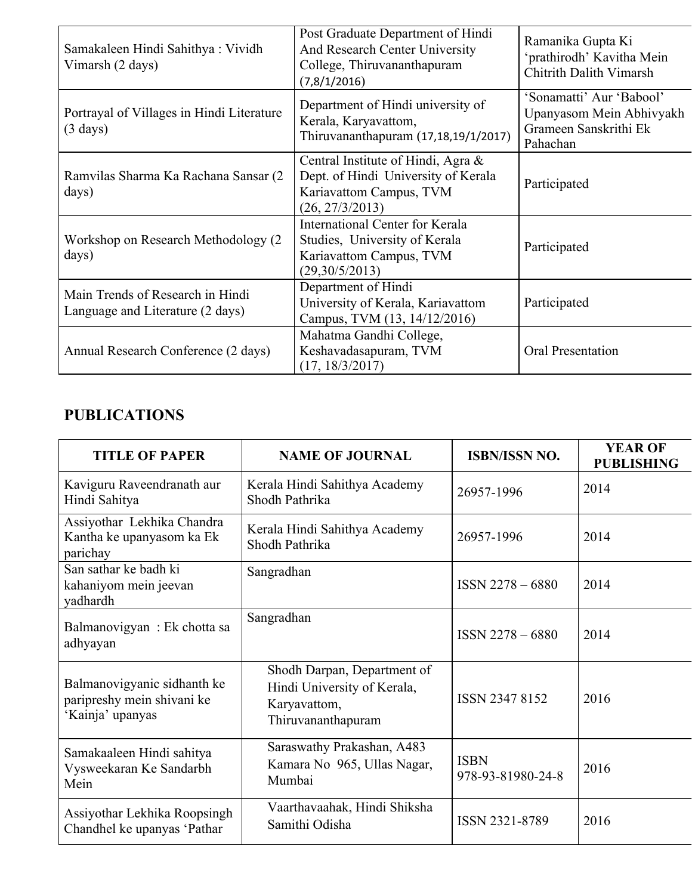| Samakaleen Hindi Sahithya: Vividh<br>Vimarsh (2 days)                | Post Graduate Department of Hindi<br>And Research Center University<br>College, Thiruvananthapuram<br>(7,8/1/2016)      | Ramanika Gupta Ki<br>'prathirodh' Kavitha Mein<br><b>Chitrith Dalith Vimarsh</b>          |
|----------------------------------------------------------------------|-------------------------------------------------------------------------------------------------------------------------|-------------------------------------------------------------------------------------------|
| Portrayal of Villages in Hindi Literature<br>$(3 \text{ days})$      | Department of Hindi university of<br>Kerala, Karyavattom,<br>Thiruvananthapuram (17,18,19/1/2017)                       | 'Sonamatti' Aur 'Babool'<br>Upanyasom Mein Abhivyakh<br>Grameen Sanskrithi Ek<br>Pahachan |
| Ramvilas Sharma Ka Rachana Sansar (2<br>days)                        | Central Institute of Hindi, Agra &<br>Dept. of Hindi University of Kerala<br>Kariavattom Campus, TVM<br>(26, 27/3/2013) | Participated                                                                              |
| Workshop on Research Methodology (2)<br>days)                        | International Center for Kerala<br>Studies, University of Kerala<br>Kariavattom Campus, TVM<br>(29,30/5/2013)           | Participated                                                                              |
| Main Trends of Research in Hindi<br>Language and Literature (2 days) | Department of Hindi<br>University of Kerala, Kariavattom<br>Campus, TVM (13, 14/12/2016)                                | Participated                                                                              |
| Annual Research Conference (2 days)                                  | Mahatma Gandhi College,<br>Keshavadasapuram, TVM<br>(17, 18/3/2017)                                                     | <b>Oral Presentation</b>                                                                  |

# **PUBLICATIONS**

| <b>TITLE OF PAPER</b>                                                         | <b>NAME OF JOURNAL</b>                                                                           | <b>ISBN/ISSN NO.</b>             | <b>YEAR OF</b><br><b>PUBLISHING</b> |
|-------------------------------------------------------------------------------|--------------------------------------------------------------------------------------------------|----------------------------------|-------------------------------------|
| Kaviguru Raveendranath aur<br>Hindi Sahitya                                   | Kerala Hindi Sahithya Academy<br>Shodh Pathrika                                                  | 26957-1996                       | 2014                                |
| Assiyothar Lekhika Chandra<br>Kantha ke upanyasom ka Ek<br>parichay           | Kerala Hindi Sahithya Academy<br>Shodh Pathrika                                                  | 26957-1996                       | 2014                                |
| San sathar ke badh ki<br>kahaniyom mein jeevan<br>yadhardh                    | Sangradhan                                                                                       | $ISSN 2278 - 6880$               | 2014                                |
| Balmanovigyan: Ek chotta sa<br>adhyayan                                       | Sangradhan                                                                                       | $ISSN 2278 - 6880$               | 2014                                |
| Balmanovigyanic sidhanth ke<br>paripreshy mein shivani ke<br>'Kainja' upanyas | Shodh Darpan, Department of<br>Hindi University of Kerala,<br>Karyavattom,<br>Thiruvananthapuram | ISSN 2347 8152                   | 2016                                |
| Samakaaleen Hindi sahitya<br>Vysweekaran Ke Sandarbh<br>Mein                  | Saraswathy Prakashan, A483<br>Kamara No 965, Ullas Nagar,<br>Mumbai                              | <b>ISBN</b><br>978-93-81980-24-8 | 2016                                |
| Assiyothar Lekhika Roopsingh<br>Chandhel ke upanyas 'Pathar                   | Vaarthavaahak, Hindi Shiksha<br>Samithi Odisha                                                   | ISSN 2321-8789                   | 2016                                |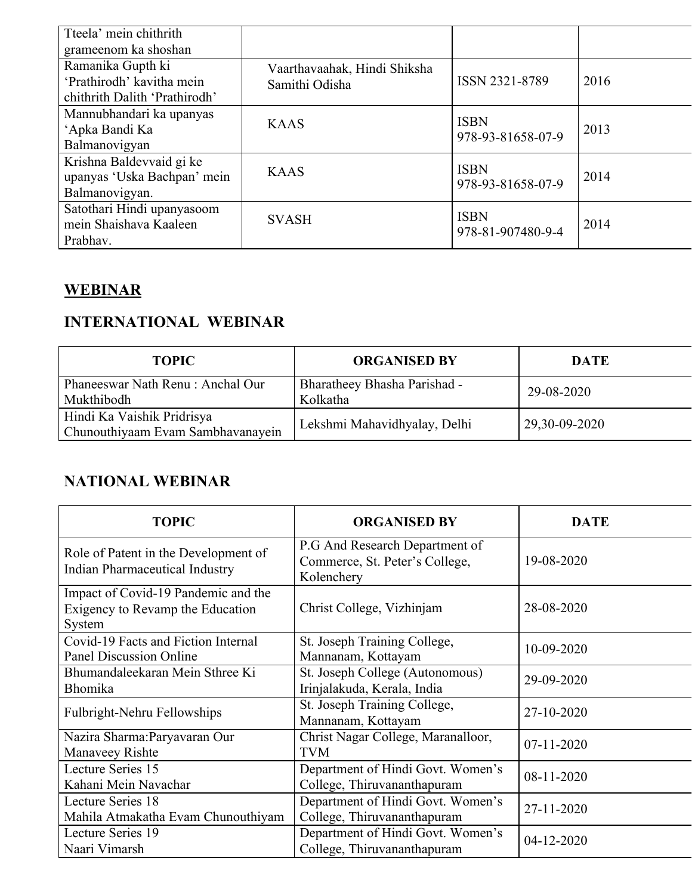| Vaarthavaahak, Hindi Shiksha<br>Samithi Odisha | ISSN 2321-8789                   | 2016 |
|------------------------------------------------|----------------------------------|------|
|                                                |                                  |      |
| <b>KAAS</b>                                    | <b>ISBN</b><br>978-93-81658-07-9 | 2013 |
|                                                |                                  |      |
| <b>KAAS</b>                                    | <b>ISBN</b><br>978-93-81658-07-9 | 2014 |
|                                                |                                  |      |
| <b>SVASH</b>                                   | <b>ISBN</b><br>978-81-907480-9-4 | 2014 |
|                                                |                                  |      |

# **WEBINAR**

# **INTERNATIONAL WEBINAR**

| <b>TOPIC</b>                                                    | <b>ORGANISED BY</b>                      | <b>DATE</b>   |
|-----------------------------------------------------------------|------------------------------------------|---------------|
| Phaneeswar Nath Renu: Anchal Our<br>Mukthibodh                  | Bharatheey Bhasha Parishad -<br>Kolkatha | 29-08-2020    |
| Hindi Ka Vaishik Pridrisya<br>Chunouthiyaam Evam Sambhavanayein | Lekshmi Mahavidhyalay, Delhi             | 29,30-09-2020 |

### **NATIONAL WEBINAR**

| <b>TOPIC</b>                                                                      | <b>ORGANISED BY</b>                                                            | <b>DATE</b>      |
|-----------------------------------------------------------------------------------|--------------------------------------------------------------------------------|------------------|
| Role of Patent in the Development of<br><b>Indian Pharmaceutical Industry</b>     | P.G And Research Department of<br>Commerce, St. Peter's College,<br>Kolenchery | 19-08-2020       |
| Impact of Covid-19 Pandemic and the<br>Exigency to Revamp the Education<br>System | Christ College, Vizhinjam                                                      | 28-08-2020       |
| Covid-19 Facts and Fiction Internal<br><b>Panel Discussion Online</b>             | St. Joseph Training College,<br>Mannanam, Kottayam                             | 10-09-2020       |
| Bhumandaleekaran Mein Sthree Ki<br>Bhomika                                        | St. Joseph College (Autonomous)<br>Irinjalakuda, Kerala, India                 | 29-09-2020       |
| Fulbright-Nehru Fellowships                                                       | St. Joseph Training College,<br>Mannanam, Kottayam                             | 27-10-2020       |
| Nazira Sharma: Paryavaran Our<br>Manaveey Rishte                                  | Christ Nagar College, Maranalloor,<br><b>TVM</b>                               | $07 - 11 - 2020$ |
| Lecture Series 15<br>Kahani Mein Navachar                                         | Department of Hindi Govt. Women's<br>College, Thiruvananthapuram               | 08-11-2020       |
| Lecture Series 18<br>Mahila Atmakatha Evam Chunouthiyam                           | Department of Hindi Govt. Women's<br>College, Thiruvananthapuram               | 27-11-2020       |
| Lecture Series 19<br>Naari Vimarsh                                                | Department of Hindi Govt. Women's<br>College, Thiruvananthapuram               | 04-12-2020       |